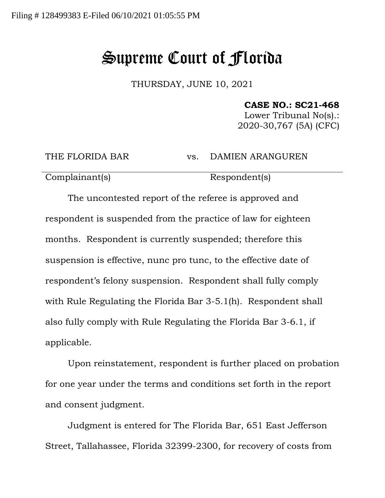## Supreme Court of Florida

THURSDAY, JUNE 10, 2021

**CASE NO.: SC21-468**

Lower Tribunal No(s).: 2020-30,767 (5A) (CFC)

THE FLORIDA BAR vs. DAMIEN ARANGUREN

Complainant(s) Respondent(s)

The uncontested report of the referee is approved and respondent is suspended from the practice of law for eighteen months. Respondent is currently suspended; therefore this suspension is effective, nunc pro tunc, to the effective date of respondent's felony suspension. Respondent shall fully comply with Rule Regulating the Florida Bar 3-5.1(h). Respondent shall also fully comply with Rule Regulating the Florida Bar 3-6.1, if applicable.

Upon reinstatement, respondent is further placed on probation for one year under the terms and conditions set forth in the report and consent judgment.

Judgment is entered for The Florida Bar, 651 East Jefferson Street, Tallahassee, Florida 32399-2300, for recovery of costs from